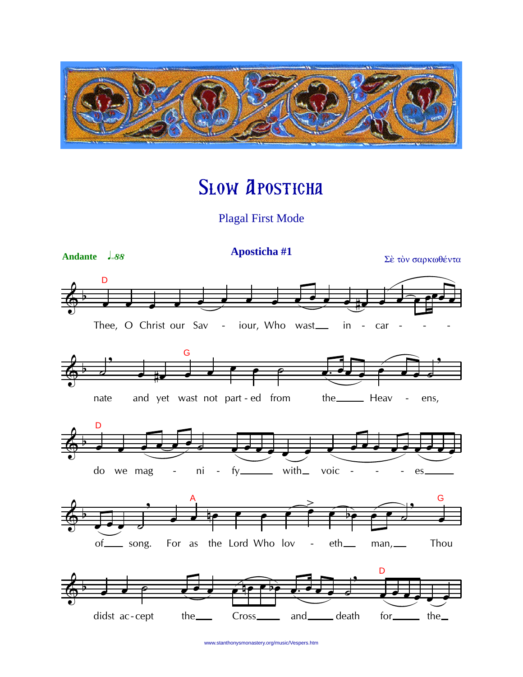

## **SLOW APOSTICHA**

**Plagal First Mode** 



www.stanthonysmonastery.org/music/Vespers.htm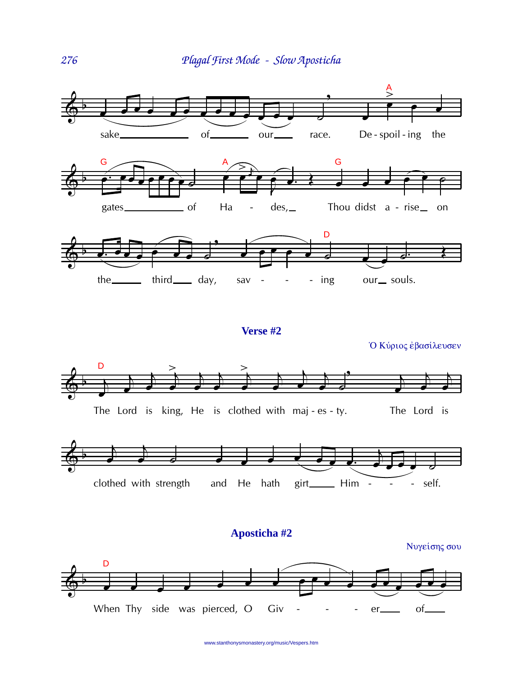

www.stanthonysmonastery.org/music/Vespers.htm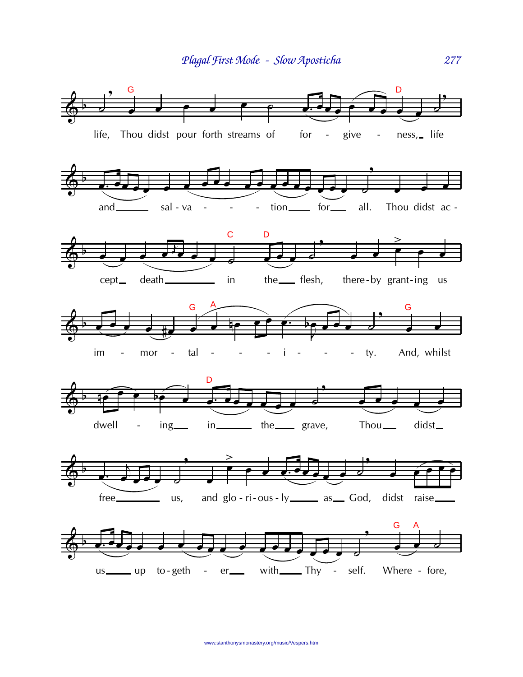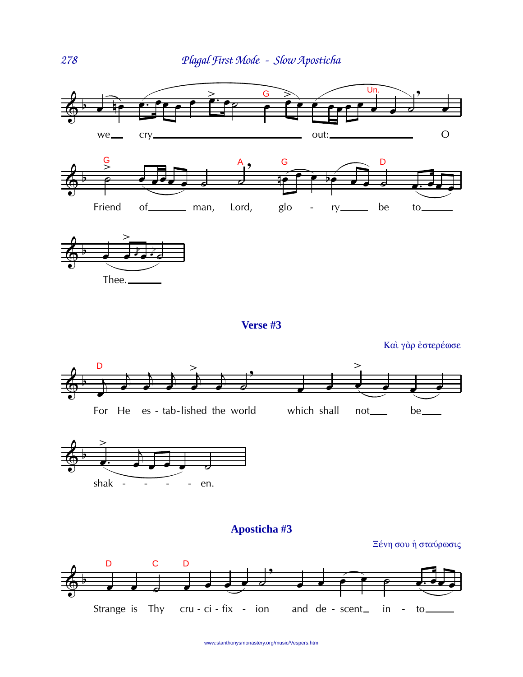



Verse #3

Και γάρ έστερέωσε

Ξένη σου ή σταύρωσις





Aposticha #3



www.stanthonysmonastery.org/music/Vespers.htm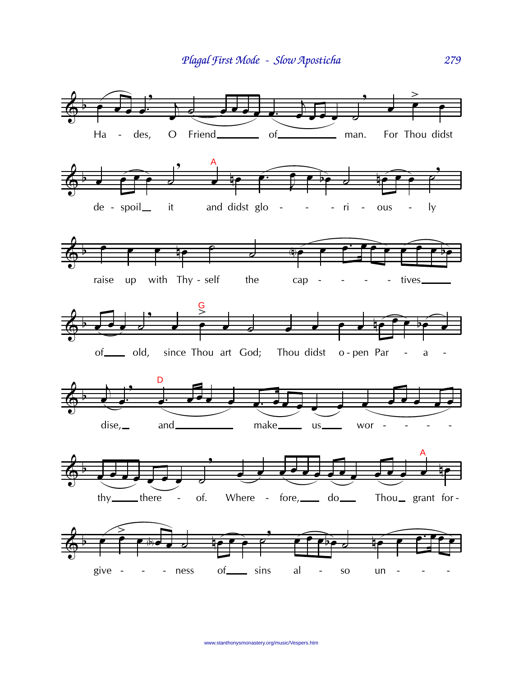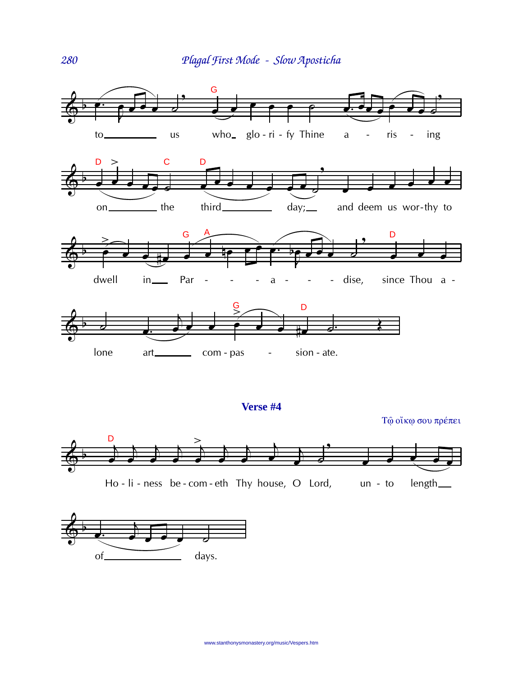